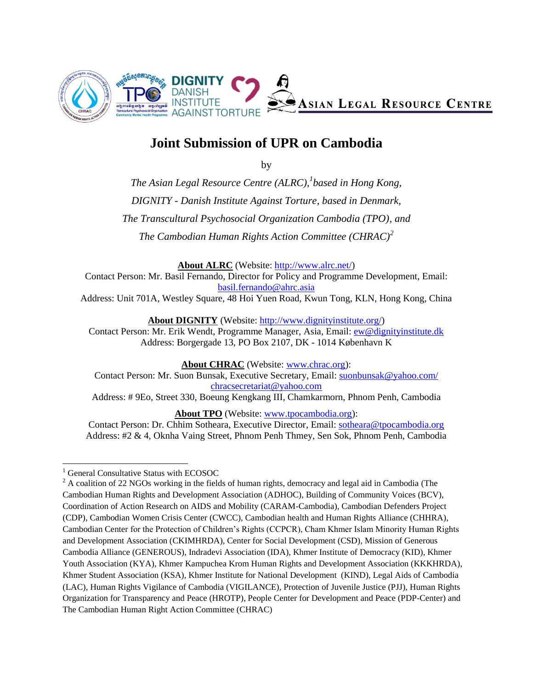

# **Joint Submission of UPR on Cambodia**

by

*The Asian Legal Resource Centre (ALRC), 1 based in Hong Kong, DIGNITY - Danish Institute Against Torture, based in Denmark, The Transcultural Psychosocial Organization Cambodia (TPO), and The Cambodian Human Rights Action Committee (CHRAC)<sup>2</sup>*

**About ALRC** (Website: [http://www.alrc.net/\)](http://www.alrc.net/)

Contact Person: Mr. Basil Fernando, Director for Policy and Programme Development, Email: [basil.fernando@ahrc.asia](mailto:basil.fernando@ahrc.asia) Address: Unit 701A, Westley Square, 48 Hoi Yuen Road, Kwun Tong, KLN, Hong Kong, China

**About DIGNITY** (Website: [http://www.dignityinstitute.org/\)](http://www.dignityinstitute.org/)

Contact Person: Mr. Erik Wendt, Programme Manager, Asia, Email: [ew@dignityinstitute.dk](mailto:ew@dignityinstitute.dk) Address: Borgergade 13, PO Box 2107, DK - 1014 København K

**About CHRAC** (Website: [www.chrac.org\)](http://www.chrac.org/):

Contact Person: Mr. Suon Bunsak, Executive Secretary, Email: [suonbunsak@yahoo.com/](mailto:suonbunsak@yahoo.com/) [chracsecretariat@yahoo.com](mailto:chracsecretariat@yahoo.com)

Address: # 9Eo, Street 330, Boeung Kengkang III, Chamkarmorn, Phnom Penh, Cambodia

**About TPO** (Website: [www.tpocambodia.org\)](http://www.tpocambodia.org/):

Contact Person: Dr. Chhim Sotheara, Executive Director, Email: [sotheara@tpocambodia.org](mailto:sotheara@tpocambodia.org) Address: #2 & 4, Oknha Vaing Street, Phnom Penh Thmey, Sen Sok, Phnom Penh, Cambodia

 $\overline{a}$ <sup>1</sup> General Consultative Status with ECOSOC

<sup>&</sup>lt;sup>2</sup> A coalition of 22 NGOs working in the fields of human rights, democracy and legal aid in Cambodia (The Cambodian Human Rights and Development Association (ADHOC), Building of Community Voices (BCV), Coordination of Action Research on AIDS and Mobility (CARAM-Cambodia), Cambodian Defenders Project (CDP), Cambodian Women Crisis Center (CWCC), Cambodian health and Human Rights Alliance (CHHRA), Cambodian Center for the Protection of Children's Rights (CCPCR), Cham Khmer Islam Minority Human Rights and Development Association (CKIMHRDA), Center for Social Development (CSD), Mission of Generous Cambodia Alliance (GENEROUS), Indradevi Association (IDA), Khmer Institute of Democracy (KID), Khmer Youth Association (KYA), Khmer Kampuchea Krom Human Rights and Development Association (KKKHRDA), Khmer Student Association (KSA), Khmer Institute for National Development (KIND), Legal Aids of Cambodia (LAC), Human Rights Vigilance of Cambodia (VIGILANCE), Protection of Juvenile Justice (PJJ), Human Rights Organization for Transparency and Peace (HROTP), People Center for Development and Peace (PDP-Center) and The Cambodian Human Right Action Committee (CHRAC)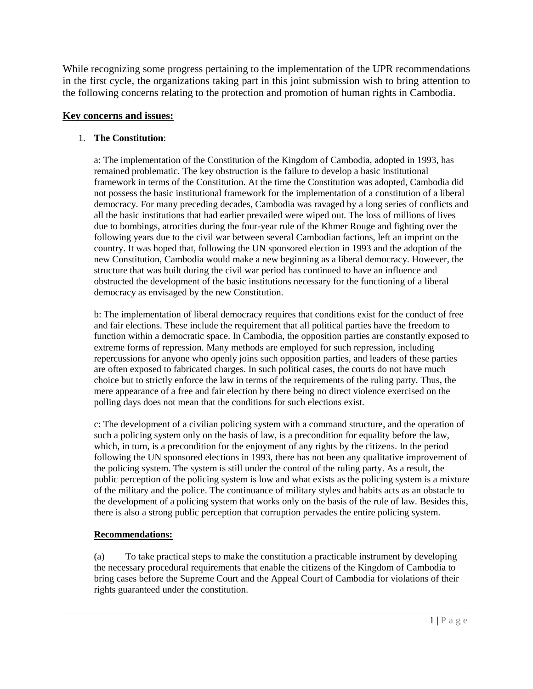While recognizing some progress pertaining to the implementation of the UPR recommendations in the first cycle, the organizations taking part in this joint submission wish to bring attention to the following concerns relating to the protection and promotion of human rights in Cambodia.

## **Key concerns and issues:**

## 1. **The Constitution**:

a: The implementation of the Constitution of the Kingdom of Cambodia, adopted in 1993, has remained problematic. The key obstruction is the failure to develop a basic institutional framework in terms of the Constitution. At the time the Constitution was adopted, Cambodia did not possess the basic institutional framework for the implementation of a constitution of a liberal democracy. For many preceding decades, Cambodia was ravaged by a long series of conflicts and all the basic institutions that had earlier prevailed were wiped out. The loss of millions of lives due to bombings, atrocities during the four-year rule of the Khmer Rouge and fighting over the following years due to the civil war between several Cambodian factions, left an imprint on the country. It was hoped that, following the UN sponsored election in 1993 and the adoption of the new Constitution, Cambodia would make a new beginning as a liberal democracy. However, the structure that was built during the civil war period has continued to have an influence and obstructed the development of the basic institutions necessary for the functioning of a liberal democracy as envisaged by the new Constitution.

b: The implementation of liberal democracy requires that conditions exist for the conduct of free and fair elections. These include the requirement that all political parties have the freedom to function within a democratic space. In Cambodia, the opposition parties are constantly exposed to extreme forms of repression. Many methods are employed for such repression, including repercussions for anyone who openly joins such opposition parties, and leaders of these parties are often exposed to fabricated charges. In such political cases, the courts do not have much choice but to strictly enforce the law in terms of the requirements of the ruling party. Thus, the mere appearance of a free and fair election by there being no direct violence exercised on the polling days does not mean that the conditions for such elections exist.

c: The development of a civilian policing system with a command structure, and the operation of such a policing system only on the basis of law, is a precondition for equality before the law, which, in turn, is a precondition for the enjoyment of any rights by the citizens. In the period following the UN sponsored elections in 1993, there has not been any qualitative improvement of the policing system. The system is still under the control of the ruling party. As a result, the public perception of the policing system is low and what exists as the policing system is a mixture of the military and the police. The continuance of military styles and habits acts as an obstacle to the development of a policing system that works only on the basis of the rule of law. Besides this, there is also a strong public perception that corruption pervades the entire policing system.

### **Recommendations:**

(a) To take practical steps to make the constitution a practicable instrument by developing the necessary procedural requirements that enable the citizens of the Kingdom of Cambodia to bring cases before the Supreme Court and the Appeal Court of Cambodia for violations of their rights guaranteed under the constitution.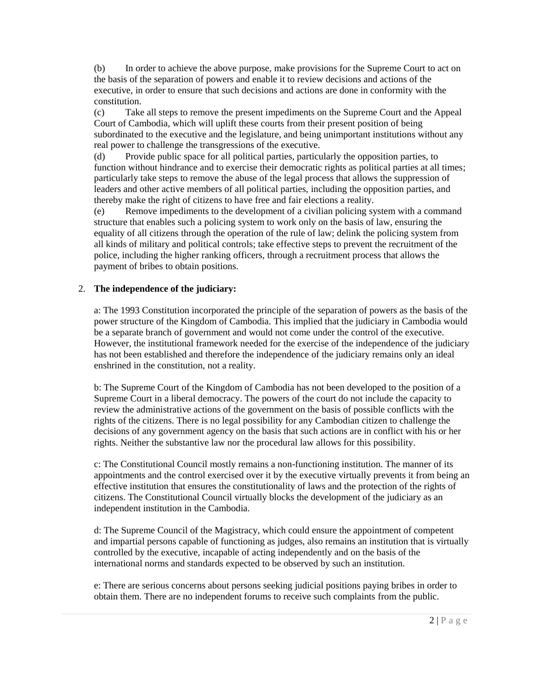(b) In order to achieve the above purpose, make provisions for the Supreme Court to act on the basis of the separation of powers and enable it to review decisions and actions of the executive, in order to ensure that such decisions and actions are done in conformity with the constitution.

(c) Take all steps to remove the present impediments on the Supreme Court and the Appeal Court of Cambodia, which will uplift these courts from their present position of being subordinated to the executive and the legislature, and being unimportant institutions without any real power to challenge the transgressions of the executive.

(d) Provide public space for all political parties, particularly the opposition parties, to function without hindrance and to exercise their democratic rights as political parties at all times; particularly take steps to remove the abuse of the legal process that allows the suppression of leaders and other active members of all political parties, including the opposition parties, and thereby make the right of citizens to have free and fair elections a reality.

(e) Remove impediments to the development of a civilian policing system with a command structure that enables such a policing system to work only on the basis of law, ensuring the equality of all citizens through the operation of the rule of law; delink the policing system from all kinds of military and political controls; take effective steps to prevent the recruitment of the police, including the higher ranking officers, through a recruitment process that allows the payment of bribes to obtain positions.

### 2. **The independence of the judiciary:**

a: The 1993 Constitution incorporated the principle of the separation of powers as the basis of the power structure of the Kingdom of Cambodia. This implied that the judiciary in Cambodia would be a separate branch of government and would not come under the control of the executive. However, the institutional framework needed for the exercise of the independence of the judiciary has not been established and therefore the independence of the judiciary remains only an ideal enshrined in the constitution, not a reality.

b: The Supreme Court of the Kingdom of Cambodia has not been developed to the position of a Supreme Court in a liberal democracy. The powers of the court do not include the capacity to review the administrative actions of the government on the basis of possible conflicts with the rights of the citizens. There is no legal possibility for any Cambodian citizen to challenge the decisions of any government agency on the basis that such actions are in conflict with his or her rights. Neither the substantive law nor the procedural law allows for this possibility.

c: The Constitutional Council mostly remains a non-functioning institution. The manner of its appointments and the control exercised over it by the executive virtually prevents it from being an effective institution that ensures the constitutionality of laws and the protection of the rights of citizens. The Constitutional Council virtually blocks the development of the judiciary as an independent institution in the Cambodia.

d: The Supreme Council of the Magistracy, which could ensure the appointment of competent and impartial persons capable of functioning as judges, also remains an institution that is virtually controlled by the executive, incapable of acting independently and on the basis of the international norms and standards expected to be observed by such an institution.

e: There are serious concerns about persons seeking judicial positions paying bribes in order to obtain them. There are no independent forums to receive such complaints from the public.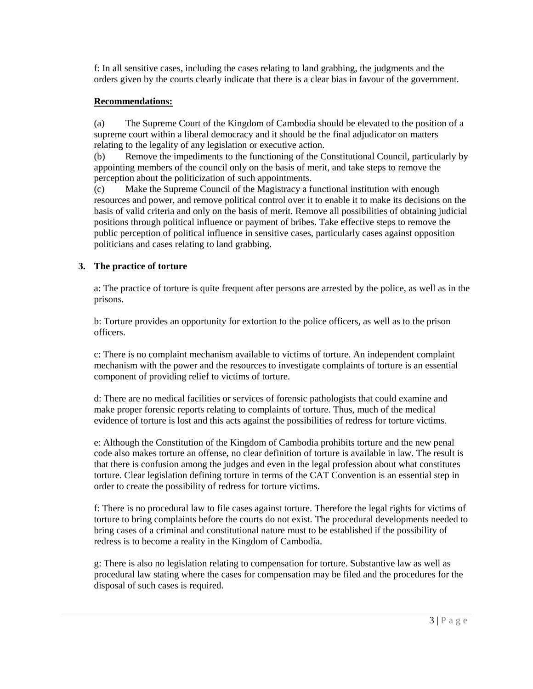f: In all sensitive cases, including the cases relating to land grabbing, the judgments and the orders given by the courts clearly indicate that there is a clear bias in favour of the government.

## **Recommendations:**

(a) The Supreme Court of the Kingdom of Cambodia should be elevated to the position of a supreme court within a liberal democracy and it should be the final adjudicator on matters relating to the legality of any legislation or executive action.

(b) Remove the impediments to the functioning of the Constitutional Council, particularly by appointing members of the council only on the basis of merit, and take steps to remove the perception about the politicization of such appointments.

(c) Make the Supreme Council of the Magistracy a functional institution with enough resources and power, and remove political control over it to enable it to make its decisions on the basis of valid criteria and only on the basis of merit. Remove all possibilities of obtaining judicial positions through political influence or payment of bribes. Take effective steps to remove the public perception of political influence in sensitive cases, particularly cases against opposition politicians and cases relating to land grabbing.

# **3. The practice of torture**

a: The practice of torture is quite frequent after persons are arrested by the police, as well as in the prisons.

b: Torture provides an opportunity for extortion to the police officers, as well as to the prison officers.

c: There is no complaint mechanism available to victims of torture. An independent complaint mechanism with the power and the resources to investigate complaints of torture is an essential component of providing relief to victims of torture.

d: There are no medical facilities or services of forensic pathologists that could examine and make proper forensic reports relating to complaints of torture. Thus, much of the medical evidence of torture is lost and this acts against the possibilities of redress for torture victims.

e: Although the Constitution of the Kingdom of Cambodia prohibits torture and the new penal code also makes torture an offense, no clear definition of torture is available in law. The result is that there is confusion among the judges and even in the legal profession about what constitutes torture. Clear legislation defining torture in terms of the CAT Convention is an essential step in order to create the possibility of redress for torture victims.

f: There is no procedural law to file cases against torture. Therefore the legal rights for victims of torture to bring complaints before the courts do not exist. The procedural developments needed to bring cases of a criminal and constitutional nature must to be established if the possibility of redress is to become a reality in the Kingdom of Cambodia.

g: There is also no legislation relating to compensation for torture. Substantive law as well as procedural law stating where the cases for compensation may be filed and the procedures for the disposal of such cases is required.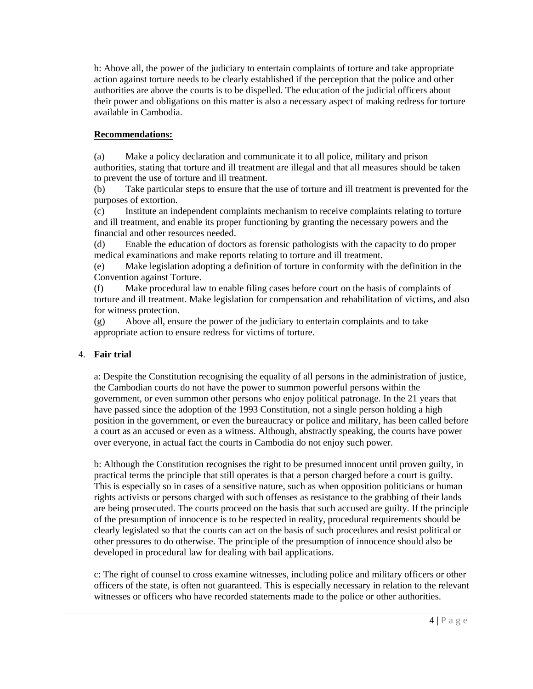h: Above all, the power of the judiciary to entertain complaints of torture and take appropriate action against torture needs to be clearly established if the perception that the police and other authorities are above the courts is to be dispelled. The education of the judicial officers about their power and obligations on this matter is also a necessary aspect of making redress for torture available in Cambodia.

# **Recommendations:**

(a) Make a policy declaration and communicate it to all police, military and prison authorities, stating that torture and ill treatment are illegal and that all measures should be taken to prevent the use of torture and ill treatment.

(b) Take particular steps to ensure that the use of torture and ill treatment is prevented for the purposes of extortion.

(c) Institute an independent complaints mechanism to receive complaints relating to torture and ill treatment, and enable its proper functioning by granting the necessary powers and the financial and other resources needed.

(d) Enable the education of doctors as forensic pathologists with the capacity to do proper medical examinations and make reports relating to torture and ill treatment.

(e) Make legislation adopting a definition of torture in conformity with the definition in the Convention against Torture.

(f) Make procedural law to enable filing cases before court on the basis of complaints of torture and ill treatment. Make legislation for compensation and rehabilitation of victims, and also for witness protection.

(g) Above all, ensure the power of the judiciary to entertain complaints and to take appropriate action to ensure redress for victims of torture.

# 4. **Fair trial**

a: Despite the Constitution recognising the equality of all persons in the administration of justice, the Cambodian courts do not have the power to summon powerful persons within the government, or even summon other persons who enjoy political patronage. In the 21 years that have passed since the adoption of the 1993 Constitution, not a single person holding a high position in the government, or even the bureaucracy or police and military, has been called before a court as an accused or even as a witness. Although, abstractly speaking, the courts have power over everyone, in actual fact the courts in Cambodia do not enjoy such power.

b: Although the Constitution recognises the right to be presumed innocent until proven guilty, in practical terms the principle that still operates is that a person charged before a court is guilty. This is especially so in cases of a sensitive nature, such as when opposition politicians or human rights activists or persons charged with such offenses as resistance to the grabbing of their lands are being prosecuted. The courts proceed on the basis that such accused are guilty. If the principle of the presumption of innocence is to be respected in reality, procedural requirements should be clearly legislated so that the courts can act on the basis of such procedures and resist political or other pressures to do otherwise. The principle of the presumption of innocence should also be developed in procedural law for dealing with bail applications.

c: The right of counsel to cross examine witnesses, including police and military officers or other officers of the state, is often not guaranteed. This is especially necessary in relation to the relevant witnesses or officers who have recorded statements made to the police or other authorities.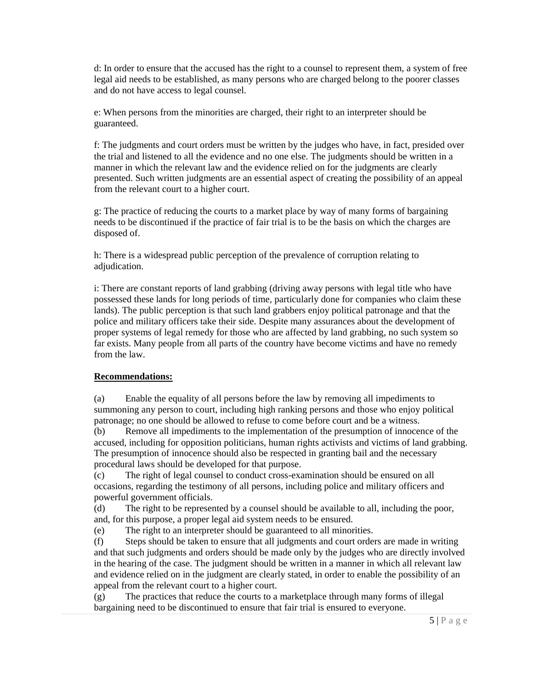d: In order to ensure that the accused has the right to a counsel to represent them, a system of free legal aid needs to be established, as many persons who are charged belong to the poorer classes and do not have access to legal counsel.

e: When persons from the minorities are charged, their right to an interpreter should be guaranteed.

f: The judgments and court orders must be written by the judges who have, in fact, presided over the trial and listened to all the evidence and no one else. The judgments should be written in a manner in which the relevant law and the evidence relied on for the judgments are clearly presented. Such written judgments are an essential aspect of creating the possibility of an appeal from the relevant court to a higher court.

g: The practice of reducing the courts to a market place by way of many forms of bargaining needs to be discontinued if the practice of fair trial is to be the basis on which the charges are disposed of.

h: There is a widespread public perception of the prevalence of corruption relating to adjudication.

i: There are constant reports of land grabbing (driving away persons with legal title who have possessed these lands for long periods of time, particularly done for companies who claim these lands). The public perception is that such land grabbers enjoy political patronage and that the police and military officers take their side. Despite many assurances about the development of proper systems of legal remedy for those who are affected by land grabbing, no such system so far exists. Many people from all parts of the country have become victims and have no remedy from the law.

### **Recommendations:**

(a) Enable the equality of all persons before the law by removing all impediments to summoning any person to court, including high ranking persons and those who enjoy political patronage; no one should be allowed to refuse to come before court and be a witness.

(b) Remove all impediments to the implementation of the presumption of innocence of the accused, including for opposition politicians, human rights activists and victims of land grabbing. The presumption of innocence should also be respected in granting bail and the necessary procedural laws should be developed for that purpose.

(c) The right of legal counsel to conduct cross-examination should be ensured on all occasions, regarding the testimony of all persons, including police and military officers and powerful government officials.

(d) The right to be represented by a counsel should be available to all, including the poor, and, for this purpose, a proper legal aid system needs to be ensured.

(e) The right to an interpreter should be guaranteed to all minorities.

(f) Steps should be taken to ensure that all judgments and court orders are made in writing and that such judgments and orders should be made only by the judges who are directly involved in the hearing of the case. The judgment should be written in a manner in which all relevant law and evidence relied on in the judgment are clearly stated, in order to enable the possibility of an appeal from the relevant court to a higher court.

(g) The practices that reduce the courts to a marketplace through many forms of illegal bargaining need to be discontinued to ensure that fair trial is ensured to everyone.